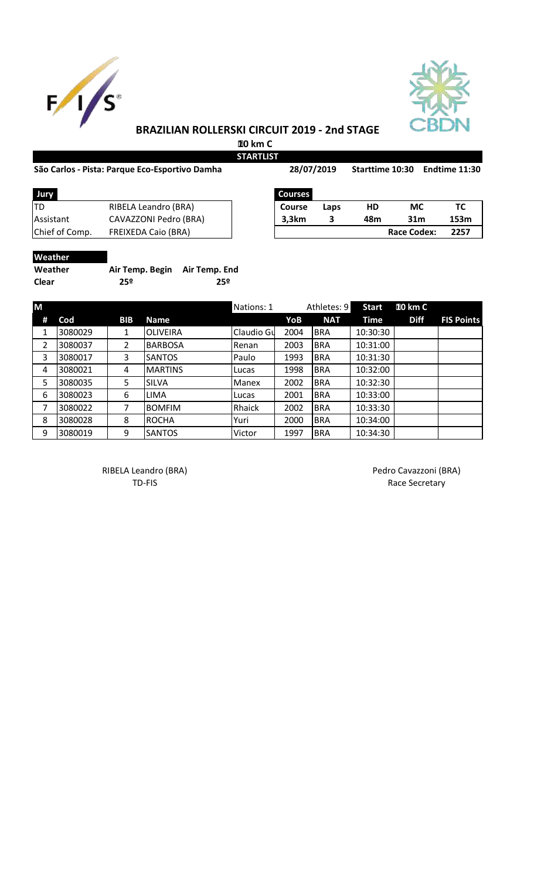



## **BRAZILIAN ROLLERSKI CIRCUIT 2019 - 2nd STAGE**

 **10 km C STARTLIST** 

## São Carlos - Pista: Parque Eco-Esportivo Damha 28/07/2019 Starttime 10:30 Endtime 11:30

| AKILISI |            |
|---------|------------|
|         | 28/07/2019 |

| RIBELA Leandro (BRA)<br>HD<br>МС<br><b>Course</b><br>Laps<br>CAVAZZONI Pedro (BRA)<br>3,3km<br>31m<br>153m<br>48m<br><b>FREIXEDA Caio (BRA)</b><br><b>Race Codex:</b><br>2257 | Jury             | <b>Courses</b> |  |  |
|-------------------------------------------------------------------------------------------------------------------------------------------------------------------------------|------------------|----------------|--|--|
|                                                                                                                                                                               | <b>ITD</b>       |                |  |  |
|                                                                                                                                                                               | <b>Assistant</b> |                |  |  |
|                                                                                                                                                                               | Chief of Comp.   |                |  |  |

| <b>Courses</b> |      |     |                    |      |
|----------------|------|-----|--------------------|------|
| <b>Course</b>  | Laps | HD  | <b>MC</b>          | ТC   |
| 3,3km          |      | 48m | 31 <sub>m</sub>    | 153m |
|                |      |     | <b>Race Codex:</b> | 2257 |

| Weather   |  |
|-----------|--|
| 18/aathar |  |

**Weather Air Temp. Begin Air Temp. End Clear 25º 25º**

| M |         |                |                 | Nations: 1   |      | Athletes: 9 | <b>Start</b> | 10 km C     |                   |
|---|---------|----------------|-----------------|--------------|------|-------------|--------------|-------------|-------------------|
| # | Cod     | <b>BIB</b>     | <b>Name</b>     |              | YoB  | <b>NAT</b>  | <b>Time</b>  | <b>Diff</b> | <b>FIS Points</b> |
| 1 | 3080029 | 1              | <b>OLIVEIRA</b> | Claudio Gu   | 2004 | <b>BRA</b>  | 10:30:30     |             |                   |
| 2 | 3080037 | $\overline{2}$ | <b>BARBOSA</b>  | Renan        | 2003 | <b>BRA</b>  | 10:31:00     |             |                   |
| 3 | 3080017 | 3              | <b>SANTOS</b>   | Paulo        | 1993 | <b>BRA</b>  | 10:31:30     |             |                   |
| 4 | 3080021 | 4              | <b>MARTINS</b>  | Lucas        | 1998 | <b>BRA</b>  | 10:32:00     |             |                   |
| 5 | 3080035 | 5              | <b>SILVA</b>    | <b>Manex</b> | 2002 | <b>BRA</b>  | 10:32:30     |             |                   |
| 6 | 3080023 | 6              | <b>LIMA</b>     | Lucas        | 2001 | <b>BRA</b>  | 10:33:00     |             |                   |
| 7 | 3080022 |                | <b>BOMFIM</b>   | Rhaick       | 2002 | <b>BRA</b>  | 10:33:30     |             |                   |
| 8 | 3080028 | 8              | <b>ROCHA</b>    | Yuri         | 2000 | <b>BRA</b>  | 10:34:00     |             |                   |
| 9 | 3080019 | 9              | <b>SANTOS</b>   | Victor       | 1997 | <b>BRA</b>  | 10:34:30     |             |                   |

RIBELA Leandro (BRA) **Pedro Cavazzoni** (BRA)

TD-FIS Race Secretary